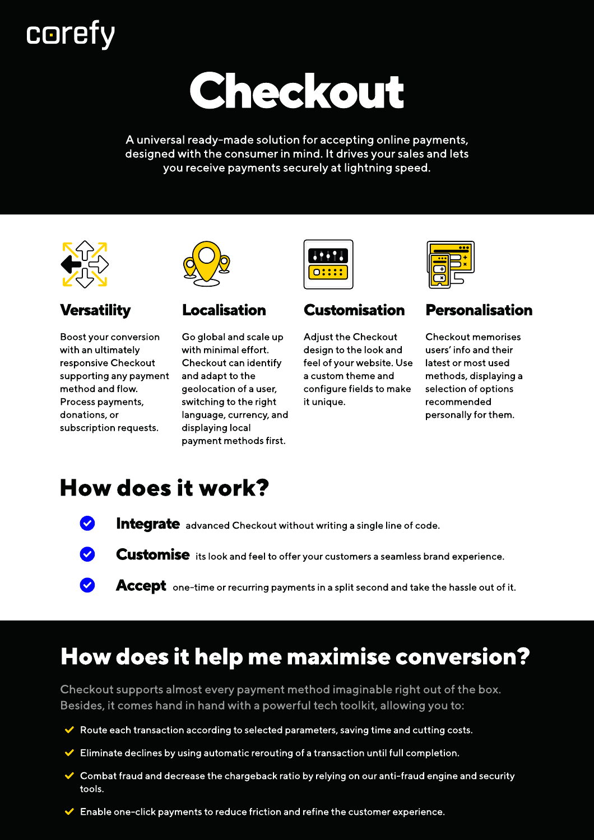# **corefy**

# Checkout

A universal ready-made solution for accepting online payments, designed with the consumer in mind. It drives your sales and lets you receive payments securely at lightning speed. A universal ready-made solution for accepting online<br>designed with the consumer in mind. It drives your said<br>you receive payments securely at lightning sp<br><br>Examples the constant of the constant of the constant of the const





Boost your conversion with an ultimately responsive Checkout supporting any payment method and flow. Process payments, donations, or subscription requests.



Go global and scale up with minimal effort. Checkout can identify and adapt to the geolocation of a user, switching to the right language, currency, and displaying local payment methods first.



#### **Customisation**

Adjust the Checkout design to the look and feel of your website. Use a custom theme and configure fields to make it unique.



#### Personalisation

Checkout memorises users' info and their latest or most used methods, displaying a selection of options recommended personally for them.

# How does it work?

- Integrate advanced Checkout without writing a single line of code.
- **Customise** its look and feel to offer your customers a seamless brand experience.
	- Accept one-time or recurring payments in a split second and take the hassle out of it.

# How does it help me maximise conversion?

Checkout supports almost every payment method imaginable right out of the box. Besides, it comes hand in hand with a powerful tech toolkit, allowing you to:

- $\blacktriangleright$  Route each transaction according to selected parameters, saving time and cutting costs.
- $\blacktriangleright$  Eliminate declines by using automatic rerouting of a transaction until full completion.
- ◆ Combat fraud and decrease the chargeback ratio by relying on our anti-fraud engine and security tools.
- $\blacktriangleright$  Enable one-click payments to reduce friction and refine the customer experience.